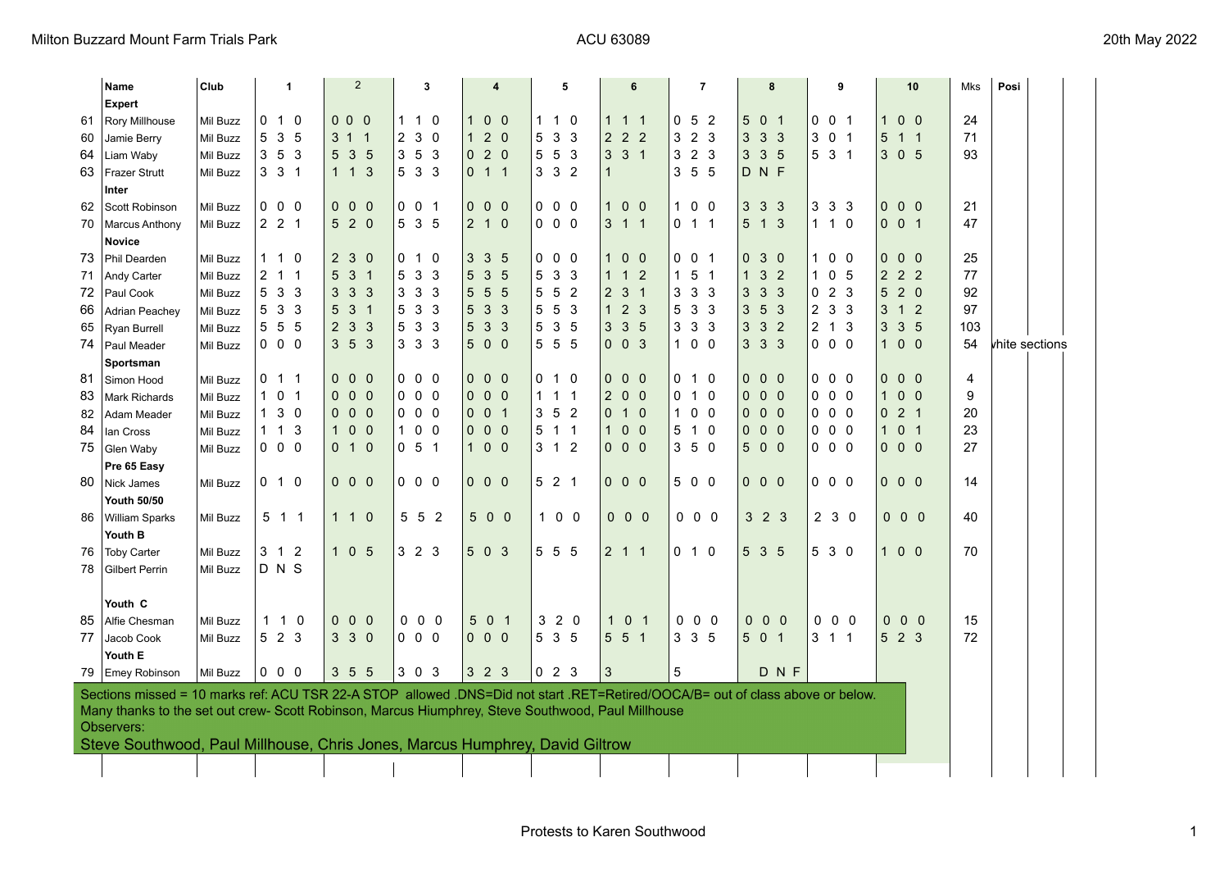|    | Name                                                                                                                           | Club            |                | -1                  |                | $\overline{2}$ |                     |                | 3                   |                   |                | 4               |                   |                | 5              |                   |                | 6              |                     |                                | $\overline{7}$ |              |                 | 8                 |              |                 |                         | 9              |                     |                | 10 |              |                     | Mks | Posi           |                |  |
|----|--------------------------------------------------------------------------------------------------------------------------------|-----------------|----------------|---------------------|----------------|----------------|---------------------|----------------|---------------------|-------------------|----------------|-----------------|-------------------|----------------|----------------|-------------------|----------------|----------------|---------------------|--------------------------------|----------------|--------------|-----------------|-------------------|--------------|-----------------|-------------------------|----------------|---------------------|----------------|----|--------------|---------------------|-----|----------------|----------------|--|
|    | Expert                                                                                                                         |                 |                |                     |                |                |                     |                |                     |                   |                |                 |                   |                |                |                   |                |                |                     |                                |                |              |                 |                   |              |                 |                         |                |                     |                |    |              |                     |     |                |                |  |
| 61 | Rory Millhouse                                                                                                                 | Mil Buzz        | 0              | $\mathbf{1}$        | $\Omega$       | $\mathbf{0}$   | $\Omega$            | - 0            | 1.                  | 1 0               |                | $\mathbf{1}$    | 0 <sub>0</sub>    |                | 1              | 1                 | 0              | 1              | $\mathbf{1}$        | -1                             |                | 0            | 5               | $\overline{2}$    | 5            |                 | 0 <sub>1</sub>          | 0              |                     | 0 <sub>1</sub> |    | 1            | 0 <sub>0</sub>      |     | 24             |                |  |
| 60 | Jamie Berry                                                                                                                    | Mil Buzz        | 5              | 3 <sub>5</sub>      |                |                | $3 \t1 \t1$         |                | 230                 |                   |                | $\mathbf{1}$    | $2\ 0$            |                |                | 5 <sub>3</sub>    | -3             |                | $2 \quad 2 \quad 2$ |                                |                |              | 323             |                   |              |                 | $3 \t3 \t3$             | 3 <sup>1</sup> |                     | 0 <sub>1</sub> |    |              | $5$ 1 1             |     | 71             |                |  |
| 64 | Liam Waby                                                                                                                      | Mil Buzz        | $3\quad5$      |                     | $\mathbf{3}$   |                | 5 3 5               |                | 353                 |                   |                | $\mathbf{0}$    | $2\ 0$            |                |                | 5 5               | 3              |                | $3 \quad 3 \quad 1$ |                                |                |              | $3\quad2\quad3$ |                   |              |                 | 335                     |                | 5 3 1               |                |    |              | 3 0 5               |     | 93             |                |  |
| 63 | <b>Frazer Strutt</b>                                                                                                           | Mil Buzz        |                | $3 \quad 3 \quad 1$ |                |                | $1 \quad 1 \quad 3$ |                | 5 3 3               |                   |                |                 | $0 \t1 \t1$       |                |                | 3 <sub>3</sub>    | $\overline{2}$ | $\overline{1}$ |                     |                                |                |              | 355             |                   |              |                 | DNF                     |                |                     |                |    |              |                     |     |                |                |  |
|    | Inter                                                                                                                          |                 |                |                     |                |                |                     |                |                     |                   |                |                 |                   |                |                |                   |                |                |                     |                                |                |              |                 |                   |              |                 |                         |                |                     |                |    |              |                     |     |                |                |  |
| 62 | Scott Robinson                                                                                                                 | <b>Mil Buzz</b> |                | $0\quad 0$          | - 0            |                | $0\quad 0\quad 0$   |                |                     | $0 \t0 \t1$       |                |                 | $0\quad 0\quad 0$ |                |                | $0\quad 0$        | - 0            | $\mathbf{1}$   |                     | 0 <sub>0</sub>                 |                | 1            |                 | 0 <sub>0</sub>    |              | 3 <sub>3</sub>  | -3                      | 3              |                     | 3 <sub>3</sub> |    |              | $0\quad 0\quad 0$   |     | 21             |                |  |
| 70 | Marcus Anthony                                                                                                                 | Mil Buzz        |                | $2 \quad 2 \quad 1$ |                |                | 5 2 0               |                | 5 3 5               |                   |                |                 | $2 1 0$           |                |                | $0\quad 0\quad 0$ |                |                | $3 \quad 1 \quad 1$ |                                |                |              | $0 \t1 \t1$     |                   |              |                 | $5$ 1 3                 | $\mathbf{1}$   |                     | $1\quad0$      |    |              | $0 \t0 \t1$         |     | 47             |                |  |
|    | <b>Novice</b>                                                                                                                  |                 |                |                     |                |                |                     |                |                     |                   |                |                 |                   |                |                |                   |                |                |                     |                                |                |              |                 |                   |              |                 |                         |                |                     |                |    |              |                     |     |                |                |  |
| 73 | Phil Dearden                                                                                                                   | <b>Mil Buzz</b> |                | $1\quad1$           | 0              |                | 230                 |                |                     | $0$ 1 $0$         |                | 3               | $\mathbf{3}$      | $5\phantom{1}$ |                | $0\quad 0$        | 0              | $\mathbf{1}$   |                     | 0 <sub>0</sub>                 |                |              | $0\quad 0$      | $\overline{1}$    |              |                 | 030                     | $\mathbf{1}$   |                     | $0\quad 0$     |    |              | $0\quad 0\quad 0$   |     | 25             |                |  |
| 71 | Andy Carter                                                                                                                    | Mil Buzz        | $\overline{2}$ | $\overline{1}$      | $\overline{1}$ | 5              | $\mathbf{3}$        | $\overline{1}$ | 5                   | 3 <sub>3</sub>    |                | 5               | 3                 | 5              | 5              | 3                 | 3              | 1              | $\overline{1}$      | $\overline{2}$                 |                | 1            | 5               | -1                | 1            | $\mathbf{3}$    | $\overline{2}$          | $\cdot$ 1      |                     | 0 <sub>5</sub> |    |              | $2 \quad 2 \quad 2$ |     | 77             |                |  |
| 72 | Paul Cook                                                                                                                      | Mil Buzz        | 5              | $\mathbf{3}$        | $\mathbf{3}$   | 3              | 3 <sup>3</sup>      |                | 3 3 3               |                   |                | $5\overline{)}$ | $5\phantom{.0}$   | 5              | 5              | 5                 | $\overline{2}$ |                | 2 <sub>3</sub>      | $\overline{1}$                 |                | 3            | $\mathbf{3}$    | -3                | 3            | $\mathbf{3}$    | $\mathbf{3}$            | 0              |                     | 2 <sub>3</sub> |    |              | 520                 |     | 92             |                |  |
| 66 | <b>Adrian Peachey</b>                                                                                                          | Mil Buzz        | 5              | $\mathbf{3}$        | 3              | 5              | 3 <sub>1</sub>      |                | 5 <sup>5</sup>      | 3 <sub>3</sub>    |                | 5               | 3                 | 3              | 5              | 5                 | -3             | $\mathbf{1}$   |                     | 2 <sub>3</sub>                 |                | 5            | 3               | - 3               | 3            | $5\phantom{.0}$ | $\overline{\mathbf{3}}$ | $\overline{2}$ |                     | 3 <sub>3</sub> |    |              | $3 \t1 \t2$         |     | 97             |                |  |
| 65 | Ryan Burrell                                                                                                                   | Mil Buzz        | 55             |                     | -5             | $\overline{2}$ | 3 <sub>3</sub>      |                | 5                   | 3 <sub>3</sub>    |                | 5               | 3 <sup>1</sup>    | $\mathbf{3}$   | 5              | $\mathbf{3}$      | 5              | 3              | 3                   | 5                              |                | 3            | 3 <sub>3</sub>  |                   | 3            | $\mathbf{3}$    | $\overline{2}$          | $\overline{2}$ |                     | 1 <sub>3</sub> |    |              | 3 3 5               |     | 103            |                |  |
| 74 | Paul Meader                                                                                                                    | <b>Mil Buzz</b> |                | $0\quad 0\quad 0$   |                |                | $3\quad 5\quad 3$   |                | $3 \quad 3 \quad 3$ |                   |                |                 | 5 0 0             |                |                | $5\quad 5$        | - 5            |                | $0 \t0 \t3$         |                                |                |              | 100             |                   |              |                 | 333                     |                | $0\quad 0\quad 0$   |                |    |              | $100$               |     | 54             | khite sections |  |
|    | Sportsman                                                                                                                      |                 |                |                     |                |                |                     |                |                     |                   |                |                 |                   |                |                |                   |                |                |                     |                                |                |              |                 |                   |              |                 |                         |                |                     |                |    |              |                     |     |                |                |  |
| 81 | Simon Hood                                                                                                                     | Mil Buzz        |                | $0$ 1 1             |                |                | $0\quad 0\quad 0$   |                |                     | $0\quad 0\quad 0$ |                | $\mathbf{0}$    | 0 <sub>0</sub>    |                |                | 0 <sub>1</sub>    | 0              | 0              |                     | 0 <sub>0</sub>                 |                |              | $0$ 1 $0$       |                   |              |                 | $0\quad 0\quad 0$       |                | $0\quad 0\quad 0$   |                |    |              | $0\quad 0\quad 0$   |     | $\overline{4}$ |                |  |
| 83 | <b>Mark Richards</b>                                                                                                           | Mil Buzz        | $1\quad 0$     |                     | - 1            | 0              | $0\quad 0$          |                |                     | $0\quad 0\quad 0$ |                | $\mathbf{0}$    | $0\quad 0$        |                |                | 1 1 1             |                | 2 <sup>1</sup> | $\overline{0}$      | $\overline{0}$                 |                | 0            |                 | $1\quad0$         |              |                 | $0\quad 0\quad 0$       | 0              |                     | $0\quad 0$     |    |              | $100$               |     | 9              |                |  |
| 82 | Adam Meader                                                                                                                    | Mil Buzz        | $\mathbf{1}$   | 3                   | - 0            | $\mathbf{0}$   | $0\quad 0$          |                |                     | $0\quad 0\quad 0$ |                | $\mathbf{0}$    | 0 <sub>1</sub>    |                | 3 <sub>5</sub> |                   | $\overline{2}$ | $\mathbf{0}$   | $\overline{1}$      | $\mathbf{0}$                   |                | $\mathbf{1}$ |                 | 0 <sub>0</sub>    |              |                 | $0\quad 0\quad 0$       | 0              |                     | $0\quad 0$     |    |              | 021                 |     | 20             |                |  |
| 84 | lan Cross                                                                                                                      | Mil Buzz        | $\mathbf{1}$   | $\overline{1}$      | 3              | $\mathbf{1}$   | $0\quad 0$          |                | $\mathbf{1}$        | $0\quad 0$        |                | $\mathbf{0}$    | 0 <sub>0</sub>    |                |                | $5$ 1 1           |                | $\mathbf{1}$   | $\mathbf{0}$        | $\overline{0}$                 |                | 5            |                 | $1\quad0$         |              |                 | $0\quad 0\quad 0$       | 0              |                     | 0 <sub>0</sub> |    | $\mathbf{1}$ | 0 <sub>1</sub>      |     | 23             |                |  |
|    | 75 Glen Waby                                                                                                                   | Mil Buzz        |                | $0\quad 0\quad 0$   |                |                | $0$ 1 0             |                | $0\t 5\t 1$         |                   |                |                 | $1 0 0$           |                |                | $3 \t1 \t2$       |                |                | $0\quad 0\quad 0$   |                                |                |              | 350             |                   |              |                 | 5 0 0                   |                | $0\quad 0\quad 0$   |                |    |              | $0\quad 0\quad 0$   |     | 27             |                |  |
|    | Pre 65 Easy                                                                                                                    |                 |                |                     |                |                |                     |                |                     |                   |                |                 |                   |                |                |                   |                |                |                     |                                |                |              |                 |                   |              |                 |                         |                |                     |                |    |              |                     |     |                |                |  |
| 80 | Nick James                                                                                                                     | Mil Buzz        |                | 0 1 0               |                |                | $0\quad 0\quad 0$   |                |                     | $0\quad 0\quad 0$ |                |                 | $0\quad 0\quad 0$ |                |                | 521               |                |                | $0\quad 0\quad 0$   |                                |                |              | 5 0 0           |                   |              |                 | $0\quad 0\quad 0$       |                | $0\quad 0\quad 0$   |                |    |              | $0\quad 0\quad 0$   |     | 14             |                |  |
|    | <b>Youth 50/50</b>                                                                                                             |                 |                |                     |                |                |                     |                |                     |                   |                |                 |                   |                |                |                   |                |                |                     |                                |                |              |                 |                   |              |                 |                         |                |                     |                |    |              |                     |     |                |                |  |
| 86 | William Sparks                                                                                                                 | Mil Buzz        |                | $5$ 1 1             |                |                | 1 1 0               |                |                     | 5 5               | $\overline{2}$ |                 | 5 0 0             |                |                | 1 0 0             |                |                | $0\quad 0\quad 0$   |                                |                |              |                 | $0\quad 0\quad 0$ |              |                 | $3\quad2\quad3$         |                |                     | 230            |    |              | $0\quad 0\quad 0$   |     | 40             |                |  |
|    | Youth B                                                                                                                        |                 |                |                     |                |                |                     |                |                     |                   |                |                 |                   |                |                |                   |                |                |                     |                                |                |              |                 |                   |              |                 |                         |                |                     |                |    |              |                     |     |                |                |  |
| 76 | <b>Toby Carter</b>                                                                                                             | <b>Mil Buzz</b> |                | 3 <sub>1</sub>      | $\overline{2}$ |                | 105                 |                | $3\quad2\quad3$     |                   |                |                 | 5 0 3             |                |                | 5 5 5             |                |                | $2 \t1 \t1$         |                                |                |              | $0$ 1 $0$       |                   |              |                 | 5 3 5                   |                | 5 3 0               |                |    |              | $100$               |     | 70             |                |  |
| 78 | <b>Gilbert Perrin</b>                                                                                                          | Mil Buzz        |                | D N S               |                |                |                     |                |                     |                   |                |                 |                   |                |                |                   |                |                |                     |                                |                |              |                 |                   |              |                 |                         |                |                     |                |    |              |                     |     |                |                |  |
|    |                                                                                                                                |                 |                |                     |                |                |                     |                |                     |                   |                |                 |                   |                |                |                   |                |                |                     |                                |                |              |                 |                   |              |                 |                         |                |                     |                |    |              |                     |     |                |                |  |
|    | Youth C                                                                                                                        |                 |                |                     |                |                |                     |                |                     |                   |                |                 |                   |                |                |                   |                |                |                     |                                |                |              |                 |                   |              |                 |                         |                |                     |                |    |              |                     |     |                |                |  |
| 85 | Alfie Chesman                                                                                                                  | <b>Mil Buzz</b> | $\mathbf{1}$   | $\mathbf{1}$        | 0              |                | $0\quad 0\quad 0$   |                |                     | 0 <sub>0</sub>    | 0              |                 | 5 0 1             |                | 3              | $2\quad0$         |                |                | $\mathbf{1}$        | $\mathbf{0}$<br>$\overline{1}$ |                | 0            |                 | $0\quad 0$        | $\mathbf{0}$ |                 | 0 <sub>0</sub>          | 0              |                     | 0 <sub>0</sub> |    |              | $0\quad 0\quad 0$   |     | 15             |                |  |
| 77 | Jacob Cook                                                                                                                     | Mil Buzz        |                | 5 2 3               |                |                | 330                 |                | $0\quad 0\quad 0$   |                   |                |                 | $0\quad 0\quad 0$ |                |                | 5 3 5             |                |                | 5 5 1               |                                |                |              | 335             |                   |              |                 | 5 0 1                   |                | $3 \quad 1 \quad 1$ |                |    |              | 5 2 3               |     | 72             |                |  |
|    | Youth E                                                                                                                        |                 |                |                     |                |                |                     |                |                     |                   |                |                 |                   |                |                |                   |                |                |                     |                                |                |              |                 |                   |              |                 |                         |                |                     |                |    |              |                     |     |                |                |  |
| 79 | <b>Emey Robinson</b>                                                                                                           | Mil Buzz        |                | $0\quad 0\quad 0$   |                |                | 3 5 5               |                | 303                 |                   |                |                 | $3\quad2\quad3$   |                |                | 023               |                | 3              |                     |                                |                | 5            |                 |                   |              |                 | DNF                     |                |                     |                |    |              |                     |     |                |                |  |
|    | Sections missed = 10 marks ref: ACU TSR 22-A STOP allowed .DNS=Did not start .RET=Retired/OOCA/B= out of class above or below. |                 |                |                     |                |                |                     |                |                     |                   |                |                 |                   |                |                |                   |                |                |                     |                                |                |              |                 |                   |              |                 |                         |                |                     |                |    |              |                     |     |                |                |  |
|    | Many thanks to the set out crew- Scott Robinson, Marcus Hiumphrey, Steve Southwood, Paul Millhouse                             |                 |                |                     |                |                |                     |                |                     |                   |                |                 |                   |                |                |                   |                |                |                     |                                |                |              |                 |                   |              |                 |                         |                |                     |                |    |              |                     |     |                |                |  |
|    | Observers:                                                                                                                     |                 |                |                     |                |                |                     |                |                     |                   |                |                 |                   |                |                |                   |                |                |                     |                                |                |              |                 |                   |              |                 |                         |                |                     |                |    |              |                     |     |                |                |  |
|    | Steve Southwood, Paul Millhouse, Chris Jones, Marcus Humphrey, David Giltrow                                                   |                 |                |                     |                |                |                     |                |                     |                   |                |                 |                   |                |                |                   |                |                |                     |                                |                |              |                 |                   |              |                 |                         |                |                     |                |    |              |                     |     |                |                |  |
|    |                                                                                                                                |                 |                |                     |                |                |                     |                |                     |                   |                |                 |                   |                |                |                   |                |                |                     |                                |                |              |                 |                   |              |                 |                         |                |                     |                |    |              |                     |     |                |                |  |
|    |                                                                                                                                |                 |                |                     |                |                |                     |                |                     |                   |                |                 |                   |                |                |                   |                |                |                     |                                |                |              |                 |                   |              |                 |                         |                |                     |                |    |              |                     |     |                |                |  |